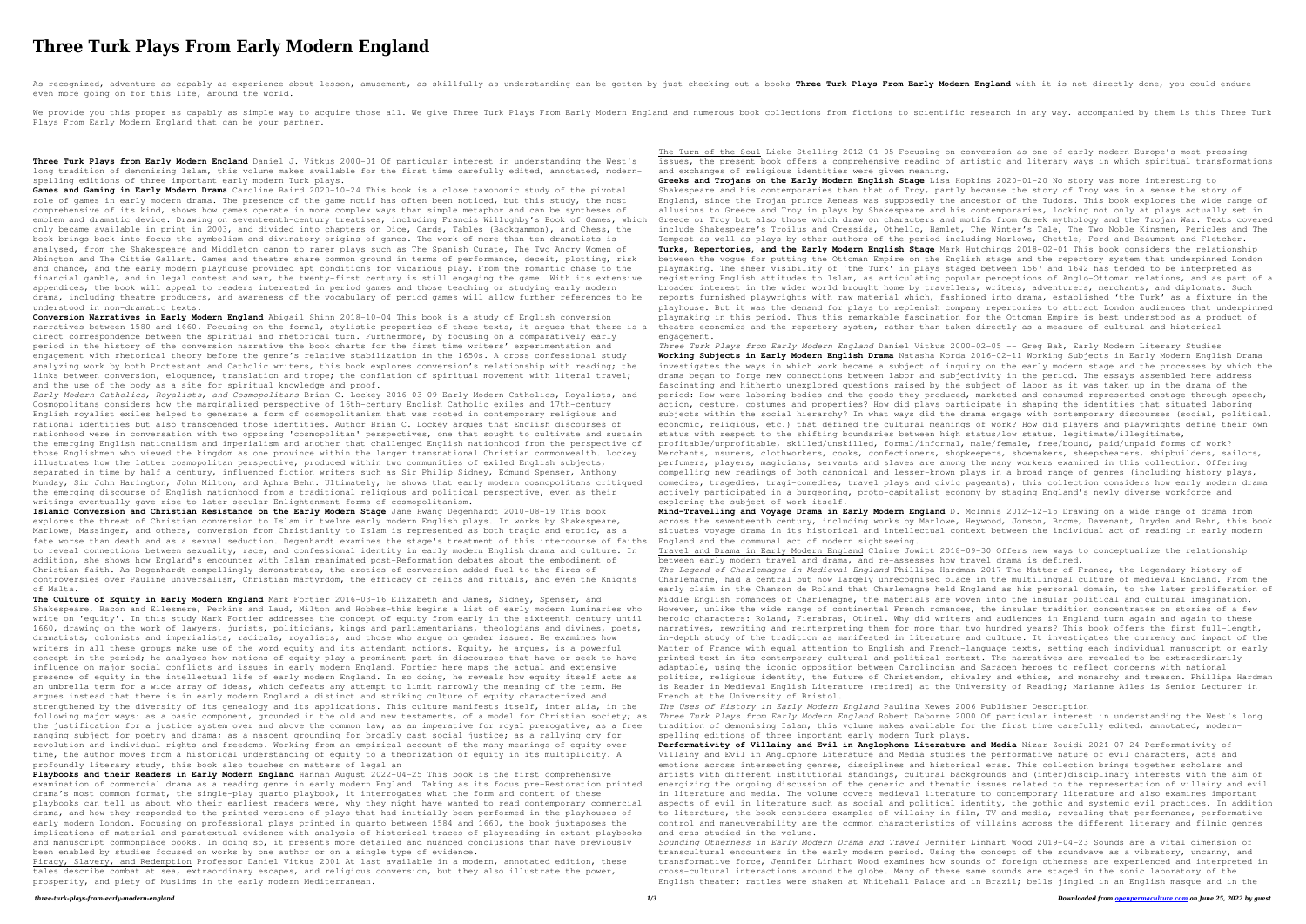## **Three Turk Plays From Early Modern England**

As recognized, adventure as capably as experience about lesson, amusement, as skillfully as understanding can be gotten by just checking out a books Three Turk Plays From Early Modern England with it is not directly done, even more going on for this life, around the world.

We provide you this proper as capably as simple way to acquire those all. We give Three Turk Plays From Early Modern England and numerous book collections from fictions to scientific research in any way. accompanied by the Plays From Early Modern England that can be your partner.

**Three Turk Plays from Early Modern England** Daniel J. Vitkus 2000-01 Of particular interest in understanding the West's long tradition of demonising Islam, this volume makes available for the first time carefully edited, annotated, modernspelling editions of three important early modern Turk plays.

**Games and Gaming in Early Modern Drama** Caroline Baird 2020-10-24 This book is a close taxonomic study of the pivotal role of games in early modern drama. The presence of the game motif has often been noticed, but this study, the most comprehensive of its kind, shows how games operate in more complex ways than simple metaphor and can be syntheses of emblem and dramatic device. Drawing on seventeenth-century treatises, including Francis Willughby's Book of Games, which only became available in print in 2003, and divided into chapters on Dice, Cards, Tables (Backgammon), and Chess, the book brings back into focus the symbolism and divinatory origins of games. The work of more than ten dramatists is analysed, from the Shakespeare and Middleton canon to rarer plays such as The Spanish Curate, The Two Angry Women of Abington and The Cittie Gallant. Games and theatre share common ground in terms of performance, deceit, plotting, risk and chance, and the early modern playhouse provided apt conditions for vicarious play. From the romantic chase to the financial gamble, and in legal contest and war, the twenty-first century is still engaging the game. With its extensive appendices, the book will appeal to readers interested in period games and those teaching or studying early modern drama, including theatre producers, and awareness of the vocabulary of period games will allow further references to be understood in non-dramatic texts.

**Conversion Narratives in Early Modern England** Abigail Shinn 2018-10-04 This book is a study of English conversion narratives between 1580 and 1660. Focusing on the formal, stylistic properties of these texts, it argues that there is a direct correspondence between the spiritual and rhetorical turn. Furthermore, by focusing on a comparatively early period in the history of the conversion narrative the book charts for the first time writers' experimentation and engagement with rhetorical theory before the genre's relative stabilization in the 1650s. A cross confessional study analyzing work by both Protestant and Catholic writers, this book explores conversion's relationship with reading; the links between conversion, eloquence, translation and trope; the conflation of spiritual movement with literal travel; and the use of the body as a site for spiritual knowledge and proof.

*Early Modern Catholics, Royalists, and Cosmopolitans* Brian C. Lockey 2016-03-09 Early Modern Catholics, Royalists, and Cosmopolitans considers how the marginalized perspective of 16th-century English Catholic exiles and 17th-century English royalist exiles helped to generate a form of cosmopolitanism that was rooted in contemporary religious and national identities but also transcended those identities. Author Brian C. Lockey argues that English discourses of nationhood were in conversation with two opposing 'cosmopolitan' perspectives, one that sought to cultivate and sustain the emerging English nationalism and imperialism and another that challenged English nationhood from the perspective of those Englishmen who viewed the kingdom as one province within the larger transnational Christian commonwealth. Lockey illustrates how the latter cosmopolitan perspective, produced within two communities of exiled English subjects, separated in time by half a century, influenced fiction writers such as Sir Philip Sidney, Edmund Spenser, Anthony Munday, Sir John Harington, John Milton, and Aphra Behn. Ultimately, he shows that early modern cosmopolitans critiqued the emerging discourse of English nationhood from a traditional religious and political perspective, even as their writings eventually gave rise to later secular Enlightenment forms of cosmopolitanism.

**Islamic Conversion and Christian Resistance on the Early Modern Stage** Jane Hwang Degenhardt 2010-08-19 This book explores the threat of Christian conversion to Islam in twelve early modern English plays. In works by Shakespeare, Marlowe, Massinger, and others, conversion from Christianity to Islam is represented as both tragic and erotic, as a fate worse than death and as a sexual seduction. Degenhardt examines the stage's treatment of this intercourse of faiths to reveal connections between sexuality, race, and confessional identity in early modern English drama and culture. In addition, she shows how England's encounter with Islam reanimated post-Reformation debates about the embodiment of Christian faith. As Degenhardt compellingly demonstrates, the erotics of conversion added fuel to the fires of controversies over Pauline universalism, Christian martyrdom, the efficacy of relics and rituals, and even the Knights of Malta.

**The Culture of Equity in Early Modern England** Mark Fortier 2016-03-16 Elizabeth and James, Sidney, Spenser, and Shakespeare, Bacon and Ellesmere, Perkins and Laud, Milton and Hobbes-this begins a list of early modern luminaries who write on 'equity'. In this study Mark Fortier addresses the concept of equity from early in the sixteenth century until 1660, drawing on the work of lawyers, jurists, politicians, kings and parliamentarians, theologians and divines, poets, dramatists, colonists and imperialists, radicals, royalists, and those who argue on gender issues. He examines how writers in all these groups make use of the word equity and its attendant notions. Equity, he argues, is a powerful concept in the period; he analyses how notions of equity play a prominent part in discourses that have or seek to have influence on major social conflicts and issues in early modern England. Fortier here maps the actual and extensive presence of equity in the intellectual life of early modern England. In so doing, he reveals how equity itself acts as an umbrella term for a wide array of ideas, which defeats any attempt to limit narrowly the meaning of the term. He argues instead that there is in early modern England a distinct and striking culture of equity characterized and strengthened by the diversity of its genealogy and its applications. This culture manifests itself, inter alia, in the following major ways: as a basic component, grounded in the old and new testaments, of a model for Christian society; as the justification for a justice system over and above the common law; as an imperative for royal prerogative; as a free ranging subject for poetry and drama; as a nascent grounding for broadly cast social justice; as a rallying cry for revolution and individual rights and freedoms. Working from an empirical account of the many meanings of equity over time, the author moves from a historical understanding of equity to a theorization of equity in its multiplicity. A profoundly literary study, this book also touches on matters of legal an

**Playbooks and their Readers in Early Modern England** Hannah August 2022-04-25 This book is the first comprehensive examination of commercial drama as a reading genre in early modern England. Taking as its focus pre-Restoration printed drama's most common format, the single-play quarto playbook, it interrogates what the form and content of these playbooks can tell us about who their earliest readers were, why they might have wanted to read contemporary commercial drama, and how they responded to the printed versions of plays that had initially been performed in the playhouses of early modern London. Focusing on professional plays printed in quarto between 1584 and 1660, the book juxtaposes the implications of material and paratextual evidence with analysis of historical traces of playreading in extant playbooks and manuscript commonplace books. In doing so, it presents more detailed and nuanced conclusions than have previously been enabled by studies focused on works by one author or on a single type of evidence. Piracy, Slavery, and Redemption Professor Daniel Vitkus 2001 At last available in a modern, annotated edition, these

tales describe combat at sea, extraordinary escapes, and religious conversion, but they also illustrate the power, prosperity, and piety of Muslims in the early modern Mediterranean.

The Turn of the Soul Lieke Stelling 2012-01-05 Focusing on conversion as one of early modern Europe's most pressing issues, the present book offers a comprehensive reading of artistic and literary ways in which spiritual transformations and exchanges of religious identities were given meaning.

**Greeks and Trojans on the Early Modern English Stage** Lisa Hopkins 2020-01-20 No story was more interesting to Shakespeare and his contemporaries than that of Troy, partly because the story of Troy was in a sense the story of England, since the Trojan prince Aeneas was supposedly the ancestor of the Tudors. This book explores the wide range of allusions to Greece and Troy in plays by Shakespeare and his contemporaries, looking not only at plays actually set in Greece or Troy but also those which draw on characters and motifs from Greek mythology and the Trojan War. Texts covered include Shakespeare's Troilus and Cressida, Othello, Hamlet, The Winter's Tale, The Two Noble Kinsmen, Pericles and The Tempest as well as plays by other authors of the period including Marlowe, Chettle, Ford and Beaumont and Fletcher. **Turks, Repertories, and the Early Modern English Stage** Mark Hutchings 2018-02-01 This book considers the relationship between the vogue for putting the Ottoman Empire on the English stage and the repertory system that underpinned London playmaking. The sheer visibility of 'the Turk' in plays staged between 1567 and 1642 has tended to be interpreted as registering English attitudes to Islam, as articulating popular perceptions of Anglo-Ottoman relations, and as part of a broader interest in the wider world brought home by travellers, writers, adventurers, merchants, and diplomats. Such reports furnished playwrights with raw material which, fashioned into drama, established 'the Turk' as a fixture in the playhouse. But it was the demand for plays to replenish company repertories to attract London audiences that underpinned playmaking in this period. Thus this remarkable fascination for the Ottoman Empire is best understood as a product of theatre economics and the repertory system, rather than taken directly as a measure of cultural and historical

engagement.

*Three Turk Plays from Early Modern England* Daniel Vitkus 2000-02-05 -- Greg Bak, Early Modern Literary Studies **Working Subjects in Early Modern English Drama** Natasha Korda 2016-02-11 Working Subjects in Early Modern English Drama investigates the ways in which work became a subject of inquiry on the early modern stage and the processes by which the drama began to forge new connections between labor and subjectivity in the period. The essays assembled here address fascinating and hitherto unexplored questions raised by the subject of labor as it was taken up in the drama of the period: How were laboring bodies and the goods they produced, marketed and consumed represented onstage through speech, action, gesture, costumes and properties? How did plays participate in shaping the identities that situated laboring subjects within the social hierarchy? In what ways did the drama engage with contemporary discourses (social, political, economic, religious, etc.) that defined the cultural meanings of work? How did players and playwrights define their own status with respect to the shifting boundaries between high status/low status, legitimate/illegitimate,

profitable/unprofitable, skilled/unskilled, formal/informal, male/female, free/bound, paid/unpaid forms of work? Merchants, usurers, clothworkers, cooks, confectioners, shopkeepers, shoemakers, sheepshearers, shipbuilders, sailors, perfumers, players, magicians, servants and slaves are among the many workers examined in this collection. Offering compelling new readings of both canonical and lesser-known plays in a broad range of genres (including history plays, comedies, tragedies, tragi-comedies, travel plays and civic pageants), this collection considers how early modern drama actively participated in a burgeoning, proto-capitalist economy by staging England's newly diverse workforce and exploring the subject of work itself.

**Mind-Travelling and Voyage Drama in Early Modern England** D. McInnis 2012-12-15 Drawing on a wide range of drama from across the seventeenth century, including works by Marlowe, Heywood, Jonson, Brome, Davenant, Dryden and Behn, this book situates voyage drama in its historical and intellectual context between the individual act of reading in early modern England and the communal act of modern sightseeing.

Travel and Drama in Early Modern England Claire Jowitt 2018-09-30 Offers new ways to conceptualize the relationship between early modern travel and drama, and re-assesses how travel drama is defined.

*The Legend of Charlemagne in Medieval England* Phillipa Hardman 2017 The Matter of France, the legendary history of Charlemagne, had a central but now largely unrecognised place in the multilingual culture of medieval England. From the early claim in the Chanson de Roland that Charlemagne held England as his personal domain, to the later proliferation of Middle English romances of Charlemagne, the materials are woven into the insular political and cultural imagination. However, unlike the wide range of continental French romances, the insular tradition concentrates on stories of a few heroic characters: Roland, Fierabras, Otinel. Why did writers and audiences in England turn again and again to these narratives, rewriting and reinterpreting them for more than two hundred years? This book offers the first full-length, in-depth study of the tradition as manifested in literature and culture. It investigates the currency and impact of the Matter of France with equal attention to English and French-language texts, setting each individual manuscript or early printed text in its contemporary cultural and political context. The narratives are revealed to be extraordinarily adaptable, using the iconic opposition between Carolingian and Saracen heroes to reflect concerns with national politics, religious identity, the future of Christendom, chivalry and ethics, and monarchy and treason. Phillipa Hardman is Reader in Medieval English Literature (retired) at the University of Reading; Marianne Ailes is Senior Lecturer in French at the University of Bristol. *The Uses of History in Early Modern England* Paulina Kewes 2006 Publisher Description *Three Turk Plays from Early Modern England* Robert Daborne 2000 Of particular interest in understanding the West's long tradition of demonising Islam, this volume makes available for the first time carefully edited, annotated, modernspelling editions of three important early modern Turk plays.

**Performativity of Villainy and Evil in Anglophone Literature and Media** Nizar Zouidi 2021-07-24 Performativity of Villainy and Evil in Anglophone Literature and Media studies the performative nature of evil characters, acts and emotions across intersecting genres, disciplines and historical eras. This collection brings together scholars and artists with different institutional standings, cultural backgrounds and (inter)disciplinary interests with the aim of energizing the ongoing discussion of the generic and thematic issues related to the representation of villainy and evil in literature and media. The volume covers medieval literature to contemporary literature and also examines important aspects of evil in literature such as social and political identity, the gothic and systemic evil practices. In addition to literature, the book considers examples of villainy in film, TV and media, revealing that performance, performative control and maneuverability are the common characteristics of villains across the different literary and filmic genres and eras studied in the volume. *Sounding Otherness in Early Modern Drama and Travel* Jennifer Linhart Wood 2019-04-23 Sounds are a vital dimension of transcultural encounters in the early modern period. Using the concept of the soundwave as a vibratory, uncanny, and transformative force, Jennifer Linhart Wood examines how sounds of foreign otherness are experienced and interpreted in cross-cultural interactions around the globe. Many of these same sounds are staged in the sonic laboratory of the English theater: rattles were shaken at Whitehall Palace and in Brazil; bells jingled in an English masque and in the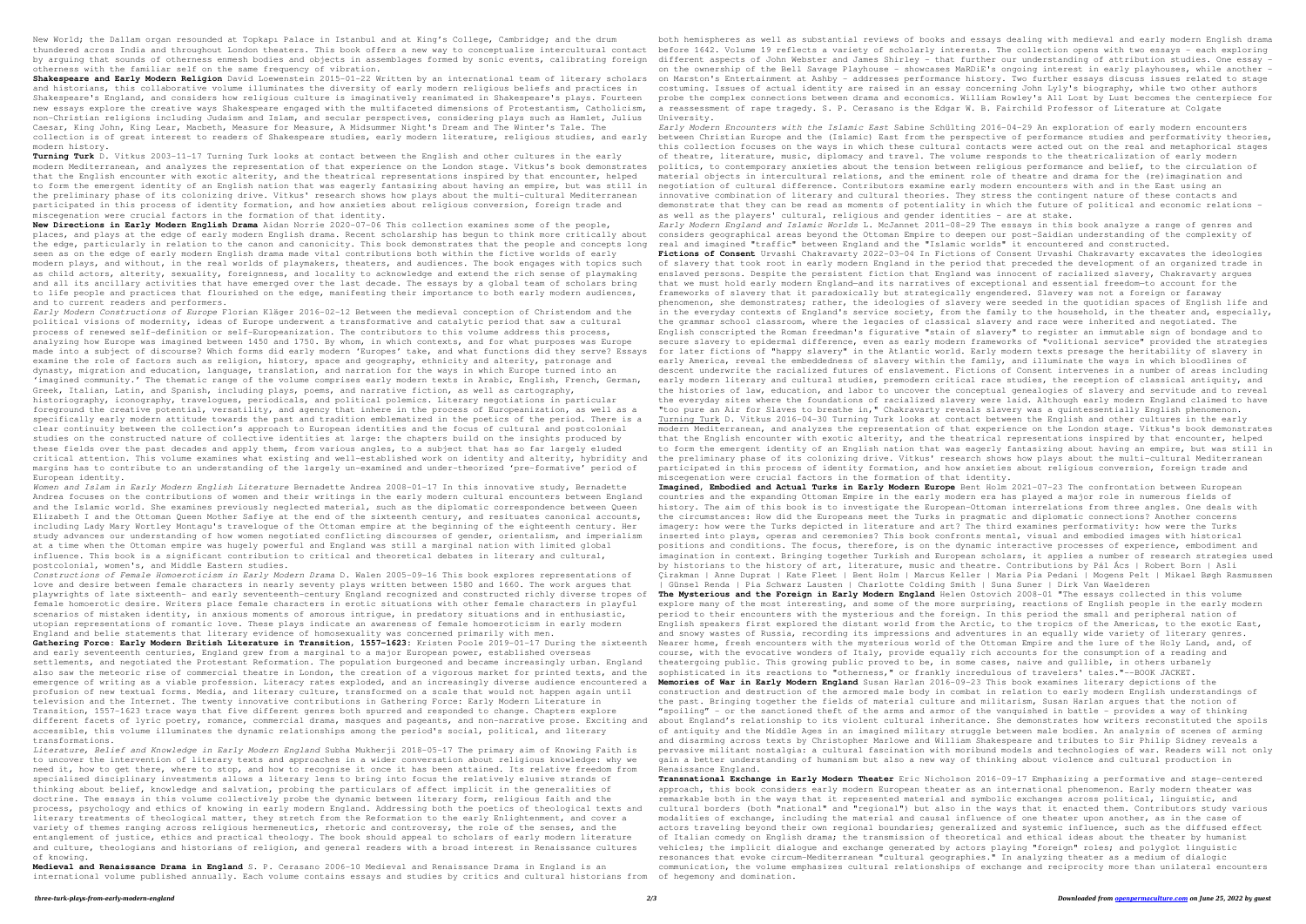New World; the Dallam organ resounded at Topkapı Palace in Istanbul and at King's College, Cambridge; and the drum thundered across India and throughout London theaters. This book offers a new way to conceptualize intercultural contact before 1642. Volume 19 reflects a variety of scholarly interests. The collection opens with two essay by arguing that sounds of otherness enmesh bodies and objects in assemblages formed by sonic events, calibrating foreign different aspects of John Webster and James Shirley - that further our understanding of attribution s otherness with the familiar self on the same frequency of vibration.

Shakespeare and Early Modern Religion David Loewenstein 2015-01-22 Written by an international team of literary scholars on Marston's Entertainment at Ashby - addresses performance history. Two further essays discuss issue and historians, this collaborative volume illuminates the diversity of early modern religious beliefs and practices in Shakespeare's England, and considers how religious culture is imaginatively reanimated in Shakespeare's plays. Fourteen new essays explore the creative ways Shakespeare engaged with the multifaceted dimensions of Protestantism, Catholicism, non-Christian religions including Judaism and Islam, and secular perspectives, considering plays such as Hamlet, Julius Caesar, King John, King Lear, Macbeth, Measure for Measure, A Midsummer Night's Dream and The Winter's Tale. The collection is of great interest to readers of Shakespeare studies, early modern literature, religious studies, and early modern history.

**Turning Turk** D. Vitkus 2003-11-17 Turning Turk looks at contact between the English and other cultures in the early modern Mediterranean, and analyzes the representation of that experience on the London stage. Vitkus's book demonstrates that the English encounter with exotic alterity, and the theatrical representations inspired by that encounter, helped to form the emergent identity of an English nation that was eagerly fantasizing about having an empire, but was still in the preliminary phase of its colonizing drive. Vitkus' research shows how plays about the multi-cultural Mediterranean participated in this process of identity formation, and how anxieties about religious conversion, foreign trade and miscegenation were crucial factors in the formation of that identity.

**New Directions in Early Modern English Drama** Aidan Norrie 2020-07-06 This collection examines some of the people, places, and plays at the edge of early modern English drama. Recent scholarship has begun to think more critically about the edge, particularly in relation to the canon and canonicity. This book demonstrates that the people and concepts long seen as on the edge of early modern English drama made vital contributions both within the fictive worlds of early modern plays, and without, in the real worlds of playmakers, theaters, and audiences. The book engages with topics such as child actors, alterity, sexuality, foreignness, and locality to acknowledge and extend the rich sense of playmaking and all its ancillary activities that have emerged over the last decade. The essays by a global team of scholars bring to life people and practices that flourished on the edge, manifesting their importance to both early modern audiences, and to current readers and performers.

*Early Modern Constructions of Europe* Florian Kläger 2016-02-12 Between the medieval conception of Christendom and the political visions of modernity, ideas of Europe underwent a transformative and catalytic period that saw a cultural process of renewed self-definition or self-Europeanization. The contributors to this volume address this process, analyzing how Europe was imagined between 1450 and 1750. By whom, in which contexts, and for what purposes was Europe made into a subject of discourse? Which forms did early modern 'Europes' take, and what functions did they serve? Essays examine the role of factors such as religion, history, space and geography, ethnicity and alterity, patronage and dynasty, migration and education, language, translation, and narration for the ways in which Europe turned into an 'imagined community.' The thematic range of the volume comprises early modern texts in Arabic, English, French, German, Greek, Italian, Latin, and Spanish, including plays, poems, and narrative fiction, as well as cartography, historiography, iconography, travelogues, periodicals, and political polemics. Literary negotiations in particular foreground the creative potential, versatility, and agency that inhere in the process of Europeanization, as well as a specifically early modern attitude towards the past and tradition emblematized in the poetics of the period. There is a clear continuity between the collection's approach to European identities and the focus of cultural and postcolonial studies on the constructed nature of collective identities at large: the chapters build on the insights produced by these fields over the past decades and apply them, from various angles, to a subject that has so far largely eluded critical attention. This volume examines what existing and well-established work on identity and alterity, hybridity and margins has to contribute to an understanding of the largely un-examined and under-theorized 'pre-formative' period of European identity.

*Early Modern Encounters with the Islamic East* Sabine Schülting 2016-04-29 An exploration of early modern encounters between Christian Europe and the (Islamic) East from the perspective of performance studies and performativity theories, this collection focuses on the ways in which these cultural contacts were acted out on the real and metaphorical stages of theatre, literature, music, diplomacy and travel. The volume responds to the theatricalization of early modern politics, to contemporary anxieties about the tension between religious performance and belief, to the circulation of material objects in intercultural relations, and the eminent role of theatre and drama for the (re)imagination and negotiation of cultural difference. Contributors examine early modern encounters with and in the East using an innovative combination of literary and cultural theories. They stress the contingent nature of these contacts and demonstrate that they can be read as moments of potentiality in which the future of political and economic relations as well as the players' cultural, religious and gender identities - are at stake.

*Women and Islam in Early Modern English Literature* Bernadette Andrea 2008-01-17 In this innovative study, Bernadette Andrea focuses on the contributions of women and their writings in the early modern cultural encounters between England and the Islamic world. She examines previously neglected material, such as the diplomatic correspondence between Queen Elizabeth I and the Ottoman Queen Mother Safiye at the end of the sixteenth century, and resituates canonical accounts, including Lady Mary Wortley Montagu's travelogue of the Ottoman empire at the beginning of the eighteenth century. Her study advances our understanding of how women negotiated conflicting discourses of gender, orientalism, and imperialism at a time when the Ottoman empire was hugely powerful and England was still a marginal nation with limited global influence. This book is a significant contribution to critical and theoretical debates in literary and cultural, postcolonial, women's, and Middle Eastern studies.

*Constructions of Female Homoeroticism in Early Modern Drama* D. Walen 2005-09-16 This book explores representations of love and desire between female characters in nearly seventy plays written between 1580 and 1660. The work argues that playwrights of late sixteenth- and early seventeenth-century England recognized and constructed richly diverse tropes of female homoerotic desire. Writers place female characters in erotic situations with other female characters in playful scenarios of mistaken identity, in anxious moments of amorous intrigue, in predatory situations and in enthusiastic, utopian representations of romantic love. These plays indicate an awareness of female homoeroticism in early modern England and belie statements that literary evidence of homosexuality was concerned primarily with men.

**Gathering Force: Early Modern British Literature in Transition, 1557–1623:** Kristen Poole 2019-01-17 During the sixteenth and early seventeenth centuries, England grew from a marginal to a major European power, established overseas settlements, and negotiated the Protestant Reformation. The population burgeoned and became increasingly urban. England also saw the meteoric rise of commercial theatre in London, the creation of a vigorous market for printed texts, and the emergence of writing as a viable profession. Literacy rates exploded, and an increasingly diverse audience encountered a profusion of new textual forms. Media, and literary culture, transformed on a scale that would not happen again until television and the Internet. The twenty innovative contributions in Gathering Force: Early Modern Literature in Transition, 1557–1623 trace ways that five different genres both spurred and responded to change. Chapters explore different facets of lyric poetry, romance, commercial drama, masques and pageants, and non-narrative prose. Exciting and about England's relationship to its violent cultural inheritance. She demonstrates how writers recons accessible, this volume illuminates the dynamic relationships among the period's social, political, and literary transformations.

*Literature, Belief and Knowledge in Early Modern England* Subha Mukherji 2018-05-17 The primary aim of Knowing Faith is to uncover the intervention of literary texts and approaches in a wider conversation about religious knowledge: why we need it, how to get there, where to stop, and how to recognise it once it has been attained. Its relative freedom from specialised disciplinary investments allows a literary lens to bring into focus the relatively elusive strands of thinking about belief, knowledge and salvation, probing the particulars of affect implicit in the generalities of doctrine. The essays in this volume collectively probe the dynamic between literary form, religious faith and the process, psychology and ethics of knowing in early modern England. Addressing both the poetics of theological texts and literary treatments of theological matter, they stretch from the Reformation to the early Enlightenment, and cover a variety of themes ranging across religious hermeneutics, rhetoric and controversy, the role of the senses, and the entanglement of justice, ethics and practical theology. The book should appeal to scholars of early modern literature and culture, theologians and historians of religion, and general readers with a broad interest in Renaissance cultures of knowing.

both hemispheres as well as substantial reviews of books and essays dealing with medieval and early modern English drama on the ownership of the Bell Savage Playhouse - showcases MaRDiE's ongoing interest in early playhouses, while another costuming. Issues of actual identity are raised in an essay concerning John Lyly's biography, while two other authors probe the complex connections between drama and economics. William Rowley's All Lost by Lust becomes the centerpiece for a reassessment of rape tragedy. S. P. Cerasano is the Edgar W. B. Fairchild Professor of Literature at Colgate

*Early Modern England and Islamic Worlds* L. McJannet 2011-08-29 The essays in this book analyze a range of genres and considers geographical areas beyond the Ottoman Empire to deepen our post-Saidian understanding of the complexity of real and imagined "traffic" between England and the "Islamic worlds" it encountered and constructed. **Fictions of Consent** Urvashi Chakravarty 2022-03-04 In Fictions of Consent Urvashi Chakravarty excavates the ideologies

of slavery that took root in early modern England in the period that preceded the development of an organized trade in enslaved persons. Despite the persistent fiction that England was innocent of racialized slavery, Chakravarty argues that we must hold early modern England—and its narratives of exceptional and essential freedom—to account for the frameworks of slavery that it paradoxically but strategically engendered. Slavery was not a foreign or faraway phenomenon, she demonstrates; rather, the ideologies of slavery were seeded in the quotidian spaces of English life and in the everyday contexts of England's service society, from the family to the household, in the theater and, especially, the grammar school classroom, where the legacies of classical slavery and race were inherited and negotiated. The English conscripted the Roman freedman's figurative "stain of slavery" to register an immutable sign of bondage and to secure slavery to epidermal difference, even as early modern frameworks of "volitional service" provided the strategies for later fictions of "happy slavery" in the Atlantic world. Early modern texts presage the heritability of slavery in early America, reveal the embeddedness of slavery within the family, and illuminate the ways in which bloodlines of descent underwrite the racialized futures of enslavement. Fictions of Consent intervenes in a number of areas including early modern literary and cultural studies, premodern critical race studies, the reception of classical antiquity, and the histories of law, education, and labor to uncover the conceptual genealogies of slavery and servitude and to reveal the everyday sites where the foundations of racialized slavery were laid. Although early modern England claimed to have "too pure an Air for Slaves to breathe in," Chakravarty reveals slavery was a quintessentially English phenomenon. Turning Turk D. Vitkus 2016-04-30 Turning Turk looks at contact between the English and other cultures in the early modern Mediterranean, and analyzes the representation of that experience on the London stage. Vitkus's book demonstrates that the English encounter with exotic alterity, and the theatrical representations inspired by that encounter, helped to form the emergent identity of an English nation that was eagerly fantasizing about having an empire, but was still in the preliminary phase of its colonizing drive. Vitkus' research shows how plays about the multi-cultural Mediterranean participated in this process of identity formation, and how anxieties about religious conversion, foreign trade and miscegenation were crucial factors in the formation of that identity.

**Medieval and Renaissance Drama in England** S. P. Cerasano 2006-10 Medieval and Renaissance Drama in England is an international volume published annually. Each volume contains essays and studies by critics and cultural historians from of hegemony and domination.

**Imagined, Embodied and Actual Turks in Early Modern Europe** Bent Holm 2021-07-23 The confrontation between European countries and the expanding Ottoman Empire in the early modern era has played a major role in numerous fields of history. The aim of this book is to investigate the European-Ottoman interrelations from three angles. One deals with the circumstances: How did the Europeans meet the Turks in pragmatic and diplomatic connections? Another concerns imagery: how were the Turks depicted in literature and art? The third examines performativity: how were the Turks inserted into plays, operas and ceremonies? This book confronts mental, visual and embodied images with historical positions and conditions. The focus, therefore, is on the dynamic interactive processes of experience, embodiment and imagination in context. Bringing together Turkish and European scholars, it applies a number of research strategies used by historians to the history of art, literature, music and theatre. Contributions by Pál Ács | Robert Born | Asli Çirakman | Anne Duprat | Kate Fleet | Bent Holm | Marcus Keller | Maria Pia Pedani | Mogens Pelt | Mikael Bøgh Rasmussen | Günsel Renda | Pia Schwarz Lausten | Charlotte Colding Smith | Suna Suner | Dirk Van Waelderen

**The Mysterious and the Foreign in Early Modern England** Helen Ostovich 2008-01 "The essays collected in this volume explore many of the most interesting, and some of the more surprising, reactions of English people in the early modern period to their encounters with the mysterious and the foreign. In this period the small and peripheral nation of English speakers first explored the distant world from the Arctic, to the tropics of the Americas, to the exotic East, and snowy wastes of Russia, recording its impressions and adventures in an equally wide variety of literary genres. Nearer home, fresh encounters with the mysterious world of the Ottoman Empire and the lure of the Holy Land, and, of course, with the evocative wonders of Italy, provide equally rich accounts for the consumption of a reading and theatergoing public. This growing public proved to be, in some cases, naive and gullible, in others urbanely sophisticated in its reactions to "otherness," or frankly incredulous of travelers' tales."--BOOK JACKET. **Memories of War in Early Modern England** Susan Harlan 2016-09-23 This book examines literary depictions of the construction and destruction of the armored male body in combat in relation to early modern English understandings of the past. Bringing together the fields of material culture and militarism, Susan Harlan argues that the notion of "spoiling" – or the sanctioned theft of the arms and armor of the vanquished in battle – provides a way of thinking of antiquity and the Middle Ages in an imagined military struggle between male bodies. An analysis of scenes of arming and disarming across texts by Christopher Marlowe and William Shakespeare and tributes to Sir Philip Sidney reveals a

pervasive militant nostalgia: a cultural fascination with moribund models and technologies of war. Readers will not only

gain a better understanding of humanism but also a new way of thinking about violence and cultural production in Renaissance England. **Transnational Exchange in Early Modern Theater** Eric Nicholson 2016-09-17 Emphasizing a performative and stage-centered approach, this book considers early modern European theater as an international phenomenon. Early modern theater was remarkable both in the ways that it represented material and symbolic exchanges across political, linguistic, and cultural borders (both "national" and "regional") but also in the ways that it enacted them. Contributors study various modalities of exchange, including the material and causal influence of one theater upon another, as in the case of actors traveling beyond their own regional boundaries; generalized and systemic influence, such as the diffused effect of Italian comedy on English drama; the transmission of theoretical and ethical ideas about the theater by humanist vehicles; the implicit dialogue and exchange generated by actors playing "foreign" roles; and polyglot linguistic resonances that evoke circum-Mediterranean "cultural geographies." In analyzing theater as a medium of dialogic communication, the volume emphasizes cultural relationships of exchange and reciprocity more than unilateral encounters